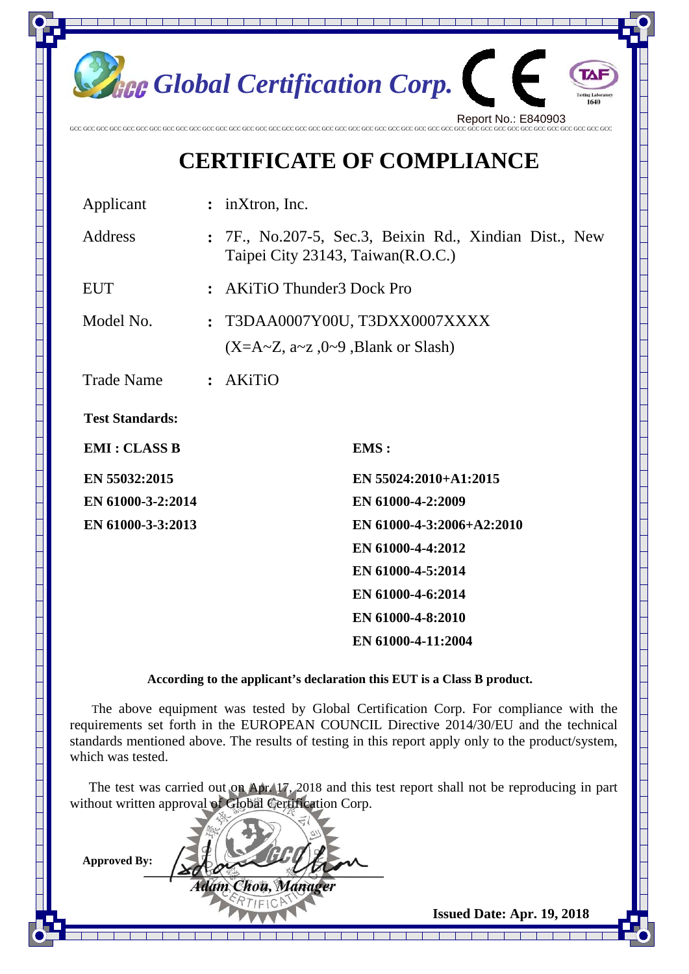

## **CERTIFICATE OF COMPLIANCE**

| Applicant              | $:$ inXtron, Inc.                                |                                                        |  |
|------------------------|--------------------------------------------------|--------------------------------------------------------|--|
| Address                | Taipei City 23143, Taiwan (R.O.C.)               | : 7F., No.207-5, Sec.3, Beixin Rd., Xindian Dist., New |  |
| <b>EUT</b>             |                                                  | : AKiTiO Thunder3 Dock Pro                             |  |
| Model No.              |                                                  | : T3DAA0007Y00U, T3DXX0007XXXX                         |  |
|                        | $(X=A\sim Z, a\sim Z, 0\sim 9$ , Blank or Slash) |                                                        |  |
| <b>Trade Name</b>      | : AKiTiO                                         |                                                        |  |
| <b>Test Standards:</b> |                                                  |                                                        |  |
| <b>EMI: CLASS B</b>    |                                                  | EMS:                                                   |  |
| EN 55032:2015          |                                                  | EN 55024:2010+A1:2015                                  |  |
| EN 61000-3-2:2014      |                                                  | EN 61000-4-2:2009                                      |  |
| EN 61000-3-3:2013      |                                                  | EN 61000-4-3:2006+A2:2010                              |  |
|                        |                                                  | EN 61000-4-4:2012                                      |  |
|                        |                                                  | EN 61000-4-5:2014                                      |  |

**According to the applicant's declaration this EUT is a Class B product.**

 **EN 61000-4-6:2014 EN 61000-4-8:2010** 

 **EN 61000-4-11:2004** 

 The above equipment was tested by Global Certification Corp. For compliance with the requirements set forth in the EUROPEAN COUNCIL Directive 2014/30/EU and the technical standards mentioned above. The results of testing in this report apply only to the product/system, which was tested.

The test was carried out on Apr. 17, 2018 and this test report shall not be reproducing in part without written approval of Global Certification Corp.

Adam Chou, Manager

**Approved By:** 

 **Issued Date: Apr. 19, 2018**